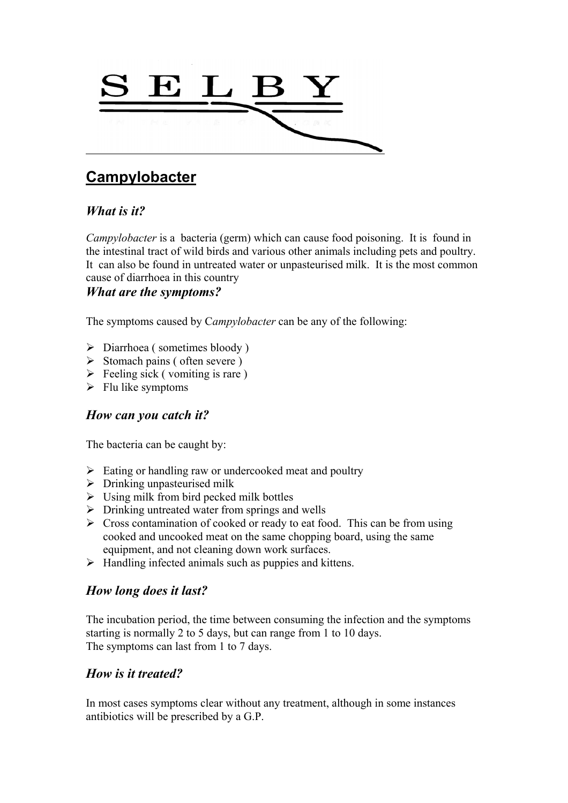

# **Campylobacter**

# *What is it?*

*Campylobacter* is a bacteria (germ) which can cause food poisoning. It is found in the intestinal tract of wild birds and various other animals including pets and poultry. It can also be found in untreated water or unpasteurised milk. It is the most common cause of diarrhoea in this country

#### *What are the symptoms?*

The symptoms caused by C*ampylobacter* can be any of the following:

- $\triangleright$  Diarrhoea (sometimes bloody)
- $\triangleright$  Stomach pains ( often severe )
- $\triangleright$  Feeling sick (vomiting is rare)
- $\triangleright$  Flu like symptoms

#### *How can you catch it?*

The bacteria can be caught by:

- $\triangleright$  Eating or handling raw or undercooked meat and poultry
- $\triangleright$  Drinking unpasteurised milk
- $\triangleright$  Using milk from bird pecked milk bottles
- $\triangleright$  Drinking untreated water from springs and wells
- $\triangleright$  Cross contamination of cooked or ready to eat food. This can be from using cooked and uncooked meat on the same chopping board, using the same equipment, and not cleaning down work surfaces.
- $\triangleright$  Handling infected animals such as puppies and kittens.

### *How long does it last?*

The incubation period, the time between consuming the infection and the symptoms starting is normally 2 to 5 days, but can range from 1 to 10 days. The symptoms can last from 1 to 7 days.

### *How is it treated?*

In most cases symptoms clear without any treatment, although in some instances antibiotics will be prescribed by a G.P.